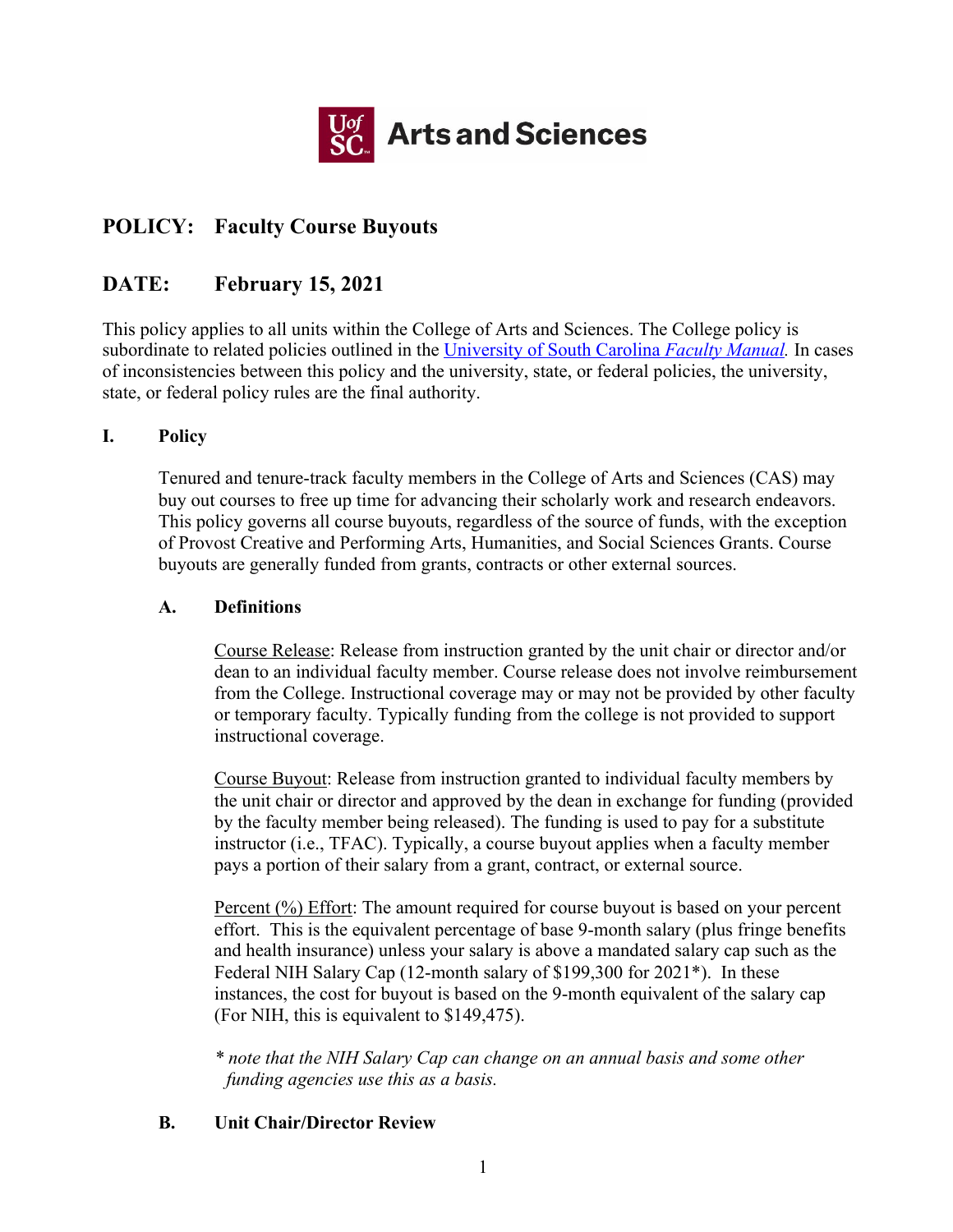

# **POLICY: Faculty Course Buyouts**

# **DATE: February 15, 2021**

This policy applies to all units within the College of Arts and Sciences. The College policy is subordinate to related policies outlined in the University of South Carolina *Faculty Manual.* In cases of inconsistencies between this policy and the university, state, or federal policies, the university, state, or federal policy rules are the final authority.

## **I. Policy**

Tenured and tenure-track faculty members in the College of Arts and Sciences (CAS) may buy out courses to free up time for advancing their scholarly work and research endeavors. This policy governs all course buyouts, regardless of the source of funds, with the exception of Provost Creative and Performing Arts, Humanities, and Social Sciences Grants. Course buyouts are generally funded from grants, contracts or other external sources.

## **A. Definitions**

Course Release: Release from instruction granted by the unit chair or director and/or dean to an individual faculty member. Course release does not involve reimbursement from the College. Instructional coverage may or may not be provided by other faculty or temporary faculty. Typically funding from the college is not provided to support instructional coverage.

Course Buyout: Release from instruction granted to individual faculty members by the unit chair or director and approved by the dean in exchange for funding (provided by the faculty member being released). The funding is used to pay for a substitute instructor (i.e., TFAC). Typically, a course buyout applies when a faculty member pays a portion of their salary from a grant, contract, or external source.

Percent (%) Effort: The amount required for course buyout is based on your percent effort. This is the equivalent percentage of base 9-month salary (plus fringe benefits and health insurance) unless your salary is above a mandated salary cap such as the Federal NIH Salary Cap (12-month salary of \$199,300 for 2021\*). In these instances, the cost for buyout is based on the 9-month equivalent of the salary cap (For NIH, this is equivalent to \$149,475).

*\* note that the NIH Salary Cap can change on an annual basis and some other funding agencies use this as a basis.* 

## **B. Unit Chair/Director Review**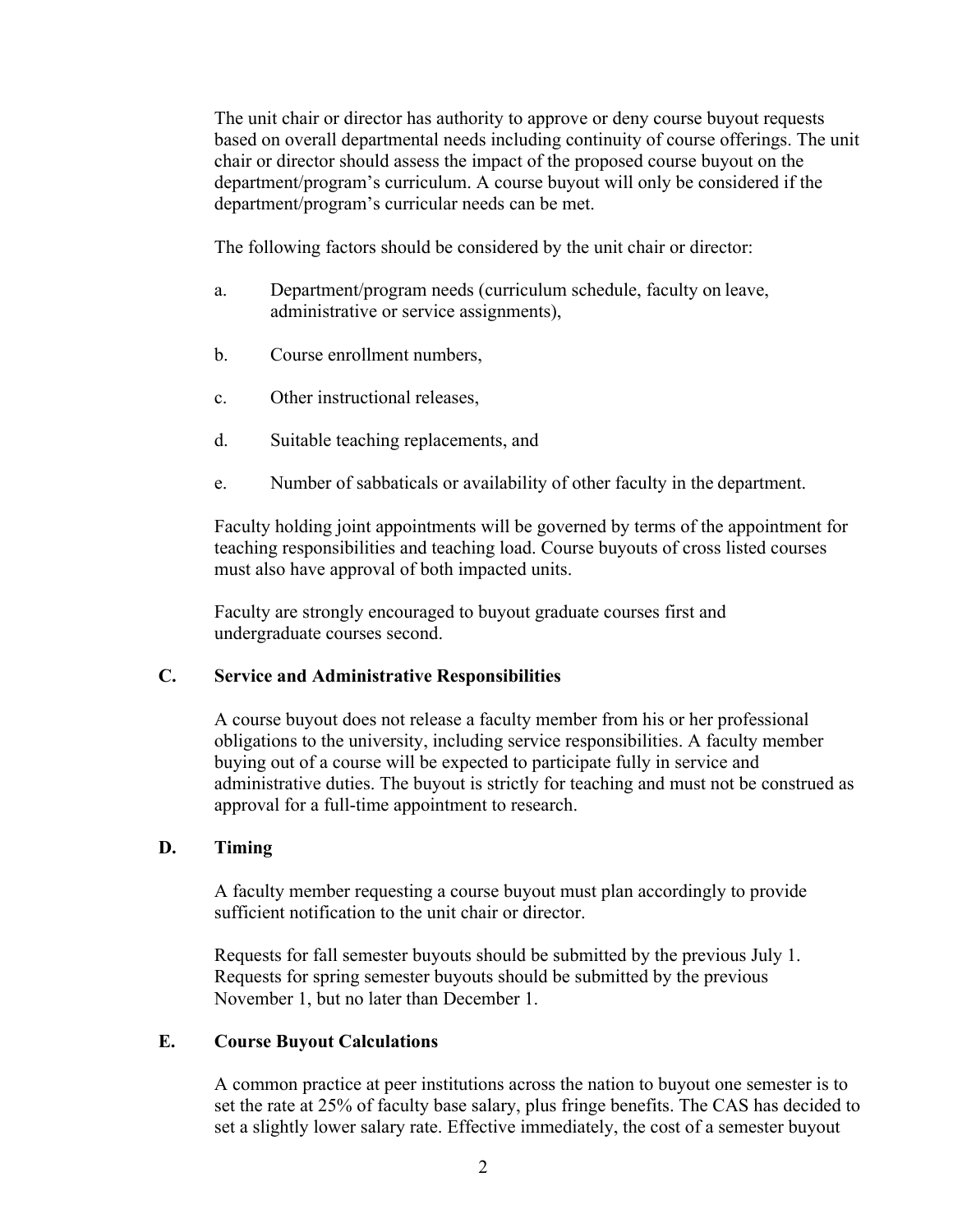The unit chair or director has authority to approve or deny course buyout requests based on overall departmental needs including continuity of course offerings. The unit chair or director should assess the impact of the proposed course buyout on the department/program's curriculum. A course buyout will only be considered if the department/program's curricular needs can be met.

The following factors should be considered by the unit chair or director:

- a. Department/program needs (curriculum schedule, faculty on leave, administrative or service assignments),
- b. Course enrollment numbers,
- c. Other instructional releases,
- d. Suitable teaching replacements, and
- e. Number of sabbaticals or availability of other faculty in the department.

Faculty holding joint appointments will be governed by terms of the appointment for teaching responsibilities and teaching load. Course buyouts of cross listed courses must also have approval of both impacted units.

Faculty are strongly encouraged to buyout graduate courses first and undergraduate courses second.

### **C. Service and Administrative Responsibilities**

A course buyout does not release a faculty member from his or her professional obligations to the university, including service responsibilities. A faculty member buying out of a course will be expected to participate fully in service and administrative duties. The buyout is strictly for teaching and must not be construed as approval for a full-time appointment to research.

### **D. Timing**

A faculty member requesting a course buyout must plan accordingly to provide sufficient notification to the unit chair or director.

Requests for fall semester buyouts should be submitted by the previous July 1. Requests for spring semester buyouts should be submitted by the previous November 1, but no later than December 1.

#### **E. Course Buyout Calculations**

A common practice at peer institutions across the nation to buyout one semester is to set the rate at 25% of faculty base salary, plus fringe benefits. The CAS has decided to set a slightly lower salary rate. Effective immediately, the cost of a semester buyout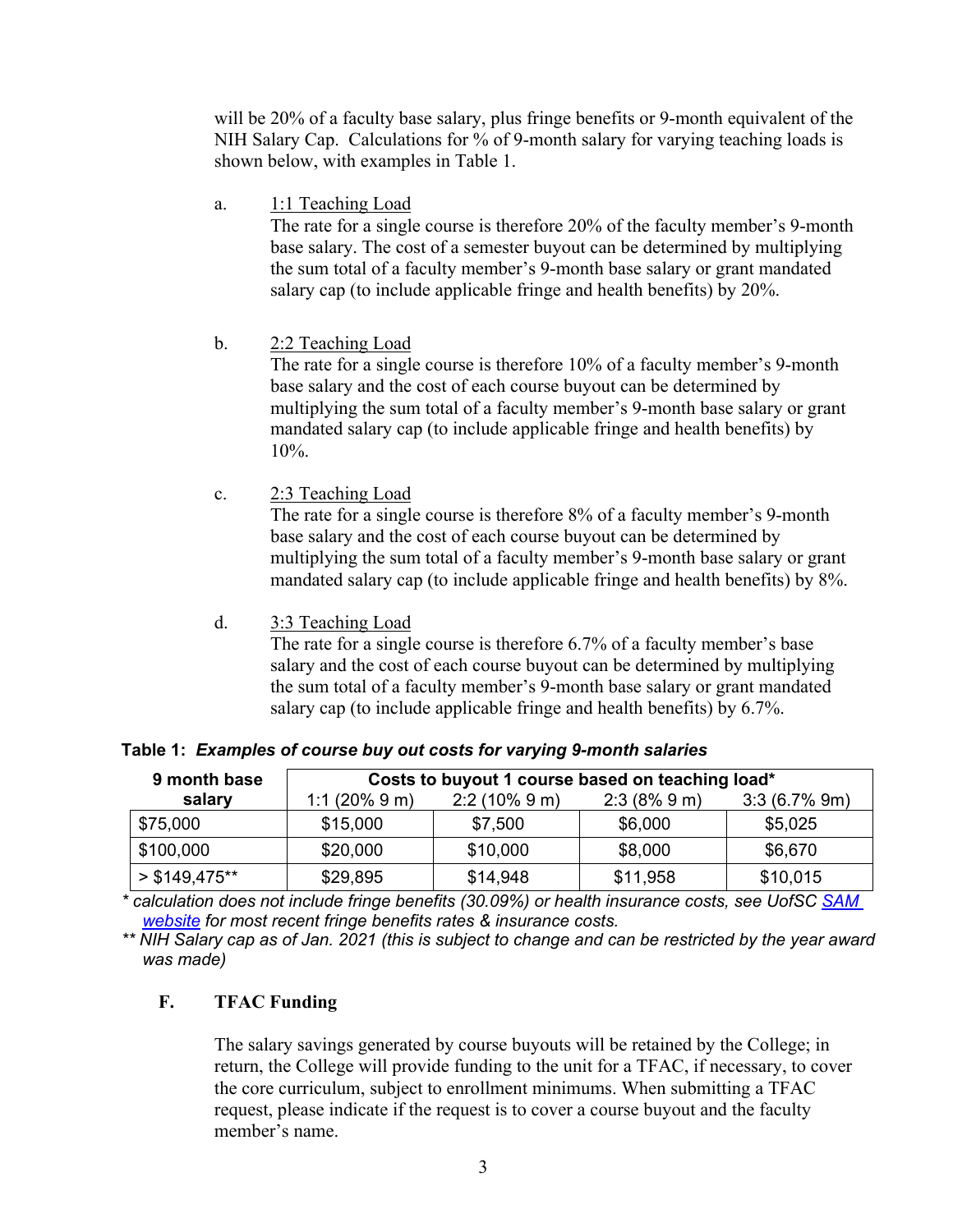will be 20% of a faculty base salary, plus fringe benefits or 9-month equivalent of the NIH Salary Cap. Calculations for % of 9-month salary for varying teaching loads is shown below, with examples in Table 1.

a. 1:1 Teaching Load

The rate for a single course is therefore 20% of the faculty member's 9-month base salary. The cost of a semester buyout can be determined by multiplying the sum total of a faculty member's 9-month base salary or grant mandated salary cap (to include applicable fringe and health benefits) by 20%.

b. 2:2 Teaching Load

The rate for a single course is therefore 10% of a faculty member's 9-month base salary and the cost of each course buyout can be determined by multiplying the sum total of a faculty member's 9-month base salary or grant mandated salary cap (to include applicable fringe and health benefits) by 10%.

c. 2:3 Teaching Load

The rate for a single course is therefore 8% of a faculty member's 9-month base salary and the cost of each course buyout can be determined by multiplying the sum total of a faculty member's 9-month base salary or grant mandated salary cap (to include applicable fringe and health benefits) by 8%.

d. 3:3 Teaching Load

The rate for a single course is therefore 6.7% of a faculty member's base salary and the cost of each course buyout can be determined by multiplying the sum total of a faculty member's 9-month base salary or grant mandated salary cap (to include applicable fringe and health benefits) by 6.7%.

|  |  |  |  |  |  | Table 1: Examples of course buy out costs for varying 9-month salaries |
|--|--|--|--|--|--|------------------------------------------------------------------------|
|--|--|--|--|--|--|------------------------------------------------------------------------|

| 9 month base   | Costs to buyout 1 course based on teaching load* |               |              |                 |  |  |
|----------------|--------------------------------------------------|---------------|--------------|-----------------|--|--|
| salary         | 1:1 $(20\% 9 m)$                                 | $2:2(10\%9m)$ | $2:3(8\%9m)$ | $3:3(6.7\% 9m)$ |  |  |
| \$75,000       | \$15,000                                         | \$7,500       | \$6,000      | \$5,025         |  |  |
| \$100,000      | \$20,000                                         | \$10,000      | \$8,000      | \$6,670         |  |  |
| $> $149.475**$ | \$29,895                                         | \$14,948      | \$11,958     | \$10,015        |  |  |

*\* calculation does not include fringe benefits (30.09%) or health insurance costs, see UofSC SAM website for most recent fringe benefits rates & insurance costs.*

*\*\* NIH Salary cap as of Jan. 2021 (this is subject to change and can be restricted by the year award was made)* 

## **F. TFAC Funding**

The salary savings generated by course buyouts will be retained by the College; in return, the College will provide funding to the unit for a TFAC, if necessary, to cover the core curriculum, subject to enrollment minimums. When submitting a TFAC request, please indicate if the request is to cover a course buyout and the faculty member's name.